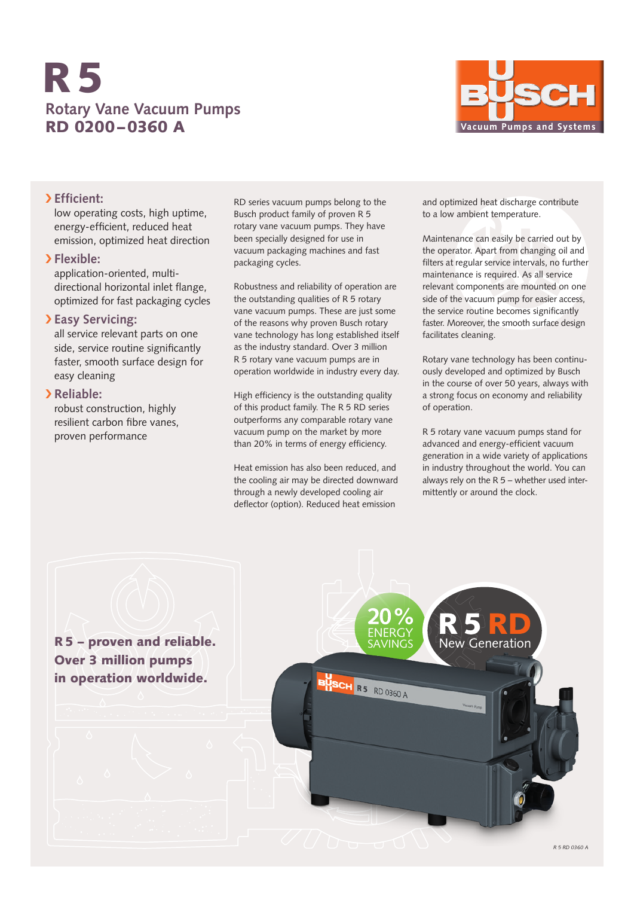# **Rotary Vane Vacuum Pumps** RD 0200–0360 A R5



## › **Efficient:**

low operating costs, high uptime, energy-efficient, reduced heat emission, optimized heat direction

### › **Flexible:**

application-oriented, multidirectional horizontal inlet flange, optimized for fast packaging cycles

## › **Easy Servicing:**

all service relevant parts on one side, service routine significantly faster, smooth surface design for easy cleaning

## › **Reliable:**

robust construction, highly resilient carbon fibre vanes, proven performance

RD series vacuum pumps belong to the Busch product family of proven R 5 rotary vane vacuum pumps. They have been specially designed for use in vacuum packaging machines and fast packaging cycles.

Robustness and reliability of operation are the outstanding qualities of R 5 rotary vane vacuum pumps. These are just some of the reasons why proven Busch rotary vane technology has long established itself as the industry standard. Over 3 million R 5 rotary vane vacuum pumps are in operation worldwide in industry every day.

High efficiency is the outstanding quality of this product family. The R 5 RD series outperforms any comparable rotary vane vacuum pump on the market by more than 20% in terms of energy efficiency.

Heat emission has also been reduced, and the cooling air may be directed downward through a newly developed cooling air deflector (option). Reduced heat emission

and optimized heat discharge contribute to a low ambient temperature.

Maintenance can easily be carried out by the operator. Apart from changing oil and filters at regular service intervals, no further maintenance is required. As all service relevant components are mounted on one side of the vacuum pump for easier access, the service routine becomes significantly faster. Moreover, the smooth surface design facilitates cleaning.

Rotary vane technology has been continuously developed and optimized by Busch in the course of over 50 years, always with a strong focus on economy and reliability of operation.

R 5 rotary vane vacuum pumps stand for advanced and energy-efficient vacuum generation in a wide variety of applications in industry throughout the world. You can always rely on the R 5 – whether used intermittently or around the clock.

R5 – proven and reliable. Over 3 million pumps in operation worldwide.